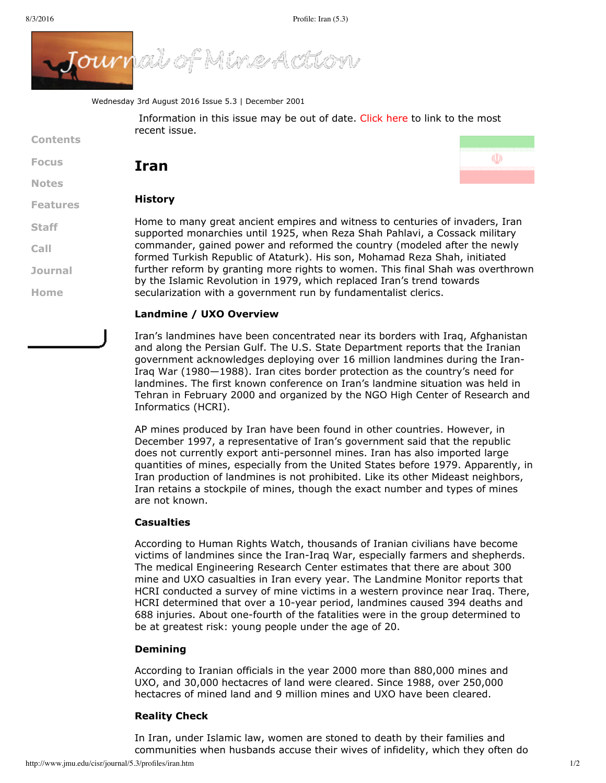

Wednesday 3rd August 2016 Issue 5.3 | December 2001

Information in this issue may be out of date. [Click](http://www.jmu.edu/cisr/journal/current.shtml) here to link to the most recent issue.

**[Contents](http://www.jmu.edu/cisr/journal/5.3/index.htm)**

**[Focus](http://www.jmu.edu/cisr/journal/5.3/index.htm#focus)**

**[Notes](http://www.jmu.edu/cisr/journal/5.3/index.htm#notes)**

**[Staff](http://www.jmu.edu/cisr/staff/index.shtml)**

**[Call](http://www.jmu.edu/cisr/journal/cfps.shtml)**

**[Journal](http://www.jmu.edu/cisr/journal/past-issues.shtml)**

**[Home](http://www.jmu.edu/cisr)**

**Iran**



(U)

### **[Features](http://www.jmu.edu/cisr/journal/5.3/index.htm#feature) History**

Home to many great ancient empires and witness to centuries of invaders, Iran supported monarchies until 1925, when Reza Shah Pahlavi, a Cossack military commander, gained power and reformed the country (modeled after the newly formed Turkish Republic of Ataturk). His son, Mohamad Reza Shah, initiated further reform by granting more rights to women. This final Shah was overthrown by the Islamic Revolution in 1979, which replaced Iran's trend towards secularization with a government run by fundamentalist clerics.

# **Landmine / UXO Overview**

Iran's landmines have been concentrated near its borders with Iraq, Afghanistan and along the Persian Gulf. The U.S. State Department reports that the Iranian government acknowledges deploying over 16 million landmines during the Iran-Iraq War (1980—1988). Iran cites border protection as the country's need for landmines. The first known conference on Iran's landmine situation was held in Tehran in February 2000 and organized by the NGO High Center of Research and Informatics (HCRI).

AP mines produced by Iran have been found in other countries. However, in December 1997, a representative of Iran's government said that the republic does not currently export anti-personnel mines. Iran has also imported large quantities of mines, especially from the United States before 1979. Apparently, in Iran production of landmines is not prohibited. Like its other Mideast neighbors, Iran retains a stockpile of mines, though the exact number and types of mines are not known.

# **Casualties**

According to Human Rights Watch, thousands of Iranian civilians have become victims of landmines since the Iran-Iraq War, especially farmers and shepherds. The medical Engineering Research Center estimates that there are about 300 mine and UXO casualties in Iran every year. The Landmine Monitor reports that HCRI conducted a survey of mine victims in a western province near Iraq. There, HCRI determined that over a 10-year period, landmines caused 394 deaths and 688 injuries. About one-fourth of the fatalities were in the group determined to be at greatest risk: young people under the age of 20.

# **Demining**

According to Iranian officials in the year 2000 more than 880,000 mines and UXO, and 30,000 hectacres of land were cleared. Since 1988, over 250,000 hectacres of mined land and 9 million mines and UXO have been cleared.

# **Reality Check**

In Iran, under Islamic law, women are stoned to death by their families and communities when husbands accuse their wives of infidelity, which they often do